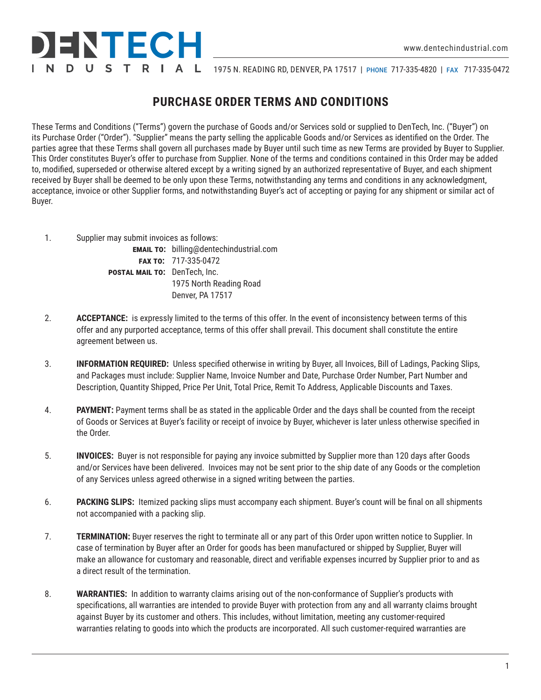

N D U S T R | A L 1975 N. READING RD, DENVER, PA 17517 | PHONE 717-335-4820 | FAX 717-335-0472

## **PURCHASE ORDER TERMS AND CONDITIONS**

These Terms and Conditions ("Terms") govern the purchase of Goods and/or Services sold or supplied to DenTech, Inc. ("Buyer") on its Purchase Order ("Order"). "Supplier" means the party selling the applicable Goods and/or Services as identified on the Order. The parties agree that these Terms shall govern all purchases made by Buyer until such time as new Terms are provided by Buyer to Supplier. This Order constitutes Buyer's offer to purchase from Supplier. None of the terms and conditions contained in this Order may be added to, modified, superseded or otherwise altered except by a writing signed by an authorized representative of Buyer, and each shipment received by Buyer shall be deemed to be only upon these Terms, notwithstanding any terms and conditions in any acknowledgment, acceptance, invoice or other Supplier forms, and notwithstanding Buyer's act of accepting or paying for any shipment or similar act of Buyer.

1. Supplier may submit invoices as follows:

**EMAIL TO:** billing@dentechindustrial.com  **fax to:** 717-335-0472 **postal mail to:** DenTech, Inc. 1975 North Reading Road Denver, PA 17517

- 2. **ACCEPTANCE:** is expressly limited to the terms of this offer. In the event of inconsistency between terms of this offer and any purported acceptance, terms of this offer shall prevail. This document shall constitute the entire agreement between us.
- 3. **INFORMATION REQUIRED:** Unless specified otherwise in writing by Buyer, all Invoices, Bill of Ladings, Packing Slips, and Packages must include: Supplier Name, Invoice Number and Date, Purchase Order Number, Part Number and Description, Quantity Shipped, Price Per Unit, Total Price, Remit To Address, Applicable Discounts and Taxes.
- 4. **PAYMENT:** Payment terms shall be as stated in the applicable Order and the days shall be counted from the receipt of Goods or Services at Buyer's facility or receipt of invoice by Buyer, whichever is later unless otherwise specified in the Order.
- 5. **INVOICES:** Buyer is not responsible for paying any invoice submitted by Supplier more than 120 days after Goods and/or Services have been delivered. Invoices may not be sent prior to the ship date of any Goods or the completion of any Services unless agreed otherwise in a signed writing between the parties.
- 6. **PACKING SLIPS:** Itemized packing slips must accompany each shipment. Buyer's count will be final on all shipments not accompanied with a packing slip.
- 7. **TERMINATION:** Buyer reserves the right to terminate all or any part of this Order upon written notice to Supplier. In case of termination by Buyer after an Order for goods has been manufactured or shipped by Supplier, Buyer will make an allowance for customary and reasonable, direct and verifiable expenses incurred by Supplier prior to and as a direct result of the termination.
- 8. **WARRANTIES:** In addition to warranty claims arising out of the non-conformance of Supplier's products with specifications, all warranties are intended to provide Buyer with protection from any and all warranty claims brought against Buyer by its customer and others. This includes, without limitation, meeting any customer-required warranties relating to goods into which the products are incorporated. All such customer-required warranties are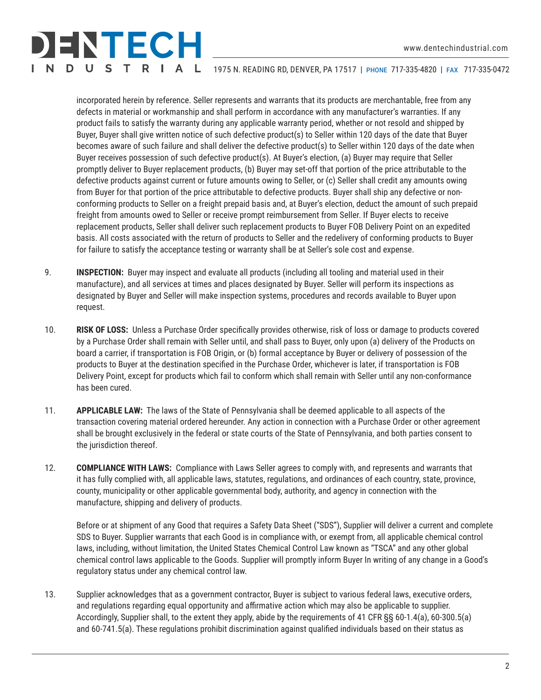## ENTECH N D U S T R I A L

1975 N. READING RD, DENVER, PA 17517 | phone 717-335-4820 | fax 717-335-0472

incorporated herein by reference. Seller represents and warrants that its products are merchantable, free from any defects in material or workmanship and shall perform in accordance with any manufacturer's warranties. If any product fails to satisfy the warranty during any applicable warranty period, whether or not resold and shipped by Buyer, Buyer shall give written notice of such defective product(s) to Seller within 120 days of the date that Buyer becomes aware of such failure and shall deliver the defective product(s) to Seller within 120 days of the date when Buyer receives possession of such defective product(s). At Buyer's election, (a) Buyer may require that Seller promptly deliver to Buyer replacement products, (b) Buyer may set-off that portion of the price attributable to the defective products against current or future amounts owing to Seller, or (c) Seller shall credit any amounts owing from Buyer for that portion of the price attributable to defective products. Buyer shall ship any defective or nonconforming products to Seller on a freight prepaid basis and, at Buyer's election, deduct the amount of such prepaid freight from amounts owed to Seller or receive prompt reimbursement from Seller. If Buyer elects to receive replacement products, Seller shall deliver such replacement products to Buyer FOB Delivery Point on an expedited basis. All costs associated with the return of products to Seller and the redelivery of conforming products to Buyer for failure to satisfy the acceptance testing or warranty shall be at Seller's sole cost and expense.

- 9. **INSPECTION:** Buyer may inspect and evaluate all products (including all tooling and material used in their manufacture), and all services at times and places designated by Buyer. Seller will perform its inspections as designated by Buyer and Seller will make inspection systems, procedures and records available to Buyer upon request.
- 10. **RISK OF LOSS:** Unless a Purchase Order specifically provides otherwise, risk of loss or damage to products covered by a Purchase Order shall remain with Seller until, and shall pass to Buyer, only upon (a) delivery of the Products on board a carrier, if transportation is FOB Origin, or (b) formal acceptance by Buyer or delivery of possession of the products to Buyer at the destination specified in the Purchase Order, whichever is later, if transportation is FOB Delivery Point, except for products which fail to conform which shall remain with Seller until any non-conformance has been cured.
- 11. **APPLICABLE LAW:** The laws of the State of Pennsylvania shall be deemed applicable to all aspects of the transaction covering material ordered hereunder. Any action in connection with a Purchase Order or other agreement shall be brought exclusively in the federal or state courts of the State of Pennsylvania, and both parties consent to the jurisdiction thereof.
- 12. **COMPLIANCE WITH LAWS:** Compliance with Laws Seller agrees to comply with, and represents and warrants that it has fully complied with, all applicable laws, statutes, regulations, and ordinances of each country, state, province, county, municipality or other applicable governmental body, authority, and agency in connection with the manufacture, shipping and delivery of products.

Before or at shipment of any Good that requires a Safety Data Sheet ("SDS"), Supplier will deliver a current and complete SDS to Buyer. Supplier warrants that each Good is in compliance with, or exempt from, all applicable chemical control laws, including, without limitation, the United States Chemical Control Law known as "TSCA" and any other global chemical control laws applicable to the Goods. Supplier will promptly inform Buyer In writing of any change in a Good's regulatory status under any chemical control law.

13. Supplier acknowledges that as a government contractor, Buyer is subject to various federal laws, executive orders, and regulations regarding equal opportunity and affirmative action which may also be applicable to supplier. Accordingly, Supplier shall, to the extent they apply, abide by the requirements of 41 CFR §§ 60-1.4(a), 60-300.5(a) and 60-741.5(a). These regulations prohibit discrimination against qualified individuals based on their status as